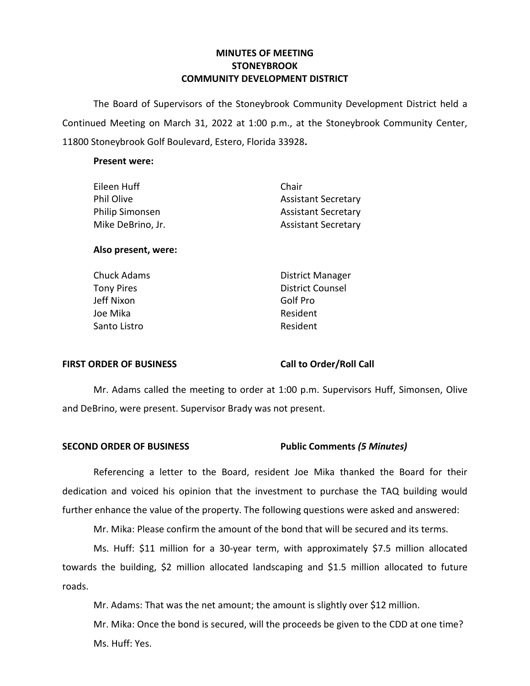# **MINUTES OF MEETING STONEYBROOK COMMUNITY DEVELOPMENT DISTRICT**

 The Board of Supervisors of the Stoneybrook Community Development District held a Continued Meeting on March 31, 2022 at 1:00 p.m., at the Stoneybrook Community Center, 11800 Stoneybrook Golf Boulevard, Estero, Florida 33928**.** 

## **Present were:**

| Chair                      |
|----------------------------|
| <b>Assistant Secretary</b> |
| <b>Assistant Secretary</b> |
| <b>Assistant Secretary</b> |
|                            |

# **Also present, were:**

| Chuck Adams       | <b>District Manager</b> |
|-------------------|-------------------------|
| <b>Tony Pires</b> | <b>District Counsel</b> |
| Jeff Nixon        | Golf Pro                |
| Joe Mika          | Resident                |
| Santo Listro      | Resident                |
|                   |                         |

# FIRST ORDER OF BUSINESS Call to Order/Roll Call

 Mr. Adams called the meeting to order at 1:00 p.m. Supervisors Huff, Simonsen, Olive and DeBrino, were present. Supervisor Brady was not present.

# **SECOND ORDER OF BUSINESS Public Comments** *(5 Minutes)*

Referencing a letter to the Board, resident Joe Mika thanked the Board for their dedication and voiced his opinion that the investment to purchase the TAQ building would further enhance the value of the property. The following questions were asked and answered:

Mr. Mika: Please confirm the amount of the bond that will be secured and its terms.

Ms. Huff: \$11 million for a 30-year term, with approximately \$7.5 million allocated towards the building, \$2 million allocated landscaping and \$1.5 million allocated to future roads.

Mr. Adams: That was the net amount; the amount is slightly over \$12 million.

Mr. Mika: Once the bond is secured, will the proceeds be given to the CDD at one time? Ms. Huff: Yes.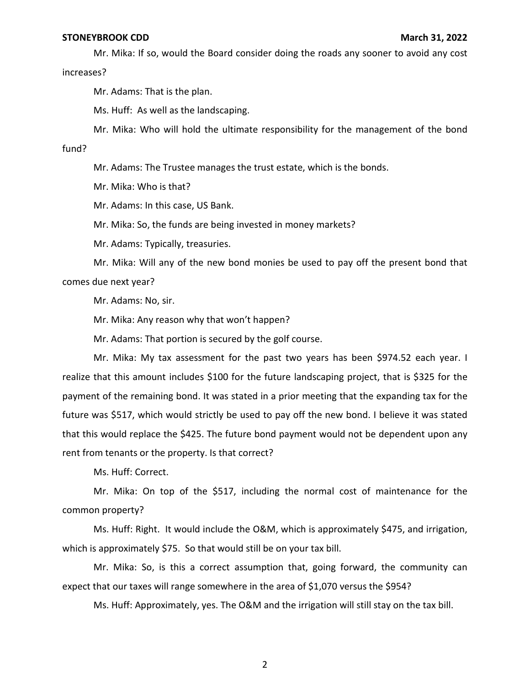### **STONEYBROOK CDD March 31, 2022**

Mr. Mika: If so, would the Board consider doing the roads any sooner to avoid any cost increases?

Mr. Adams: That is the plan.

Ms. Huff: As well as the landscaping.

Mr. Mika: Who will hold the ultimate responsibility for the management of the bond

fund?

Mr. Adams: The Trustee manages the trust estate, which is the bonds.

Mr. Mika: Who is that?

Mr. Adams: In this case, US Bank.

Mr. Mika: So, the funds are being invested in money markets?

Mr. Adams: Typically, treasuries.

Mr. Mika: Will any of the new bond monies be used to pay off the present bond that comes due next year?

Mr. Adams: No, sir.

Mr. Mika: Any reason why that won't happen?

Mr. Adams: That portion is secured by the golf course.

Mr. Mika: My tax assessment for the past two years has been \$974.52 each year. I realize that this amount includes \$100 for the future landscaping project, that is \$325 for the payment of the remaining bond. It was stated in a prior meeting that the expanding tax for the future was \$517, which would strictly be used to pay off the new bond. I believe it was stated that this would replace the \$425. The future bond payment would not be dependent upon any rent from tenants or the property. Is that correct?

Ms. Huff: Correct.

Mr. Mika: On top of the \$517, including the normal cost of maintenance for the common property?

Ms. Huff: Right. It would include the O&M, which is approximately \$475, and irrigation, which is approximately \$75. So that would still be on your tax bill.

Mr. Mika: So, is this a correct assumption that, going forward, the community can expect that our taxes will range somewhere in the area of \$1,070 versus the \$954?

Ms. Huff: Approximately, yes. The O&M and the irrigation will still stay on the tax bill.

2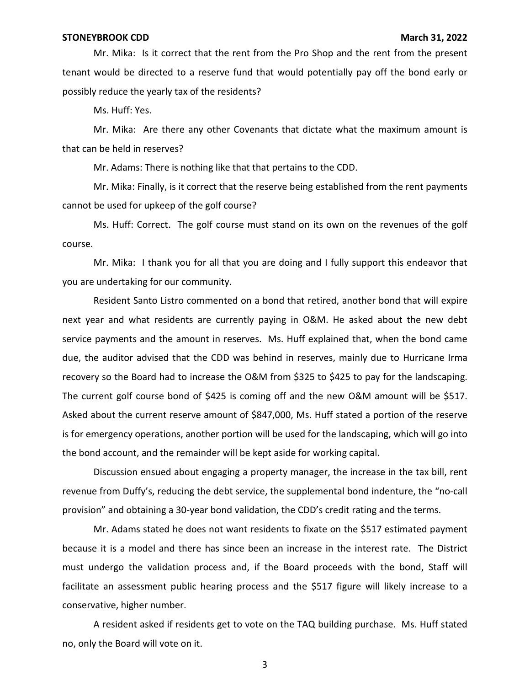### **STONEYBROOK CDD March 31, 2022**

Mr. Mika: Is it correct that the rent from the Pro Shop and the rent from the present tenant would be directed to a reserve fund that would potentially pay off the bond early or possibly reduce the yearly tax of the residents?

Ms. Huff: Yes.

Mr. Mika: Are there any other Covenants that dictate what the maximum amount is that can be held in reserves?

Mr. Adams: There is nothing like that that pertains to the CDD.

Mr. Mika: Finally, is it correct that the reserve being established from the rent payments cannot be used for upkeep of the golf course?

Ms. Huff: Correct. The golf course must stand on its own on the revenues of the golf course.

Mr. Mika: I thank you for all that you are doing and I fully support this endeavor that you are undertaking for our community.

Resident Santo Listro commented on a bond that retired, another bond that will expire next year and what residents are currently paying in O&M. He asked about the new debt service payments and the amount in reserves. Ms. Huff explained that, when the bond came due, the auditor advised that the CDD was behind in reserves, mainly due to Hurricane Irma recovery so the Board had to increase the O&M from \$325 to \$425 to pay for the landscaping. The current golf course bond of \$425 is coming off and the new O&M amount will be \$517. Asked about the current reserve amount of \$847,000, Ms. Huff stated a portion of the reserve is for emergency operations, another portion will be used for the landscaping, which will go into the bond account, and the remainder will be kept aside for working capital.

Discussion ensued about engaging a property manager, the increase in the tax bill, rent revenue from Duffy's, reducing the debt service, the supplemental bond indenture, the "no-call provision" and obtaining a 30-year bond validation, the CDD's credit rating and the terms.

Mr. Adams stated he does not want residents to fixate on the \$517 estimated payment because it is a model and there has since been an increase in the interest rate. The District must undergo the validation process and, if the Board proceeds with the bond, Staff will facilitate an assessment public hearing process and the \$517 figure will likely increase to a conservative, higher number.

A resident asked if residents get to vote on the TAQ building purchase. Ms. Huff stated no, only the Board will vote on it.

3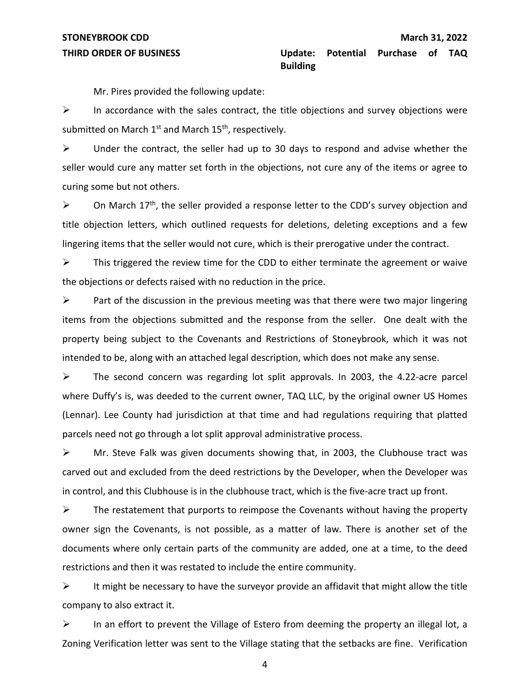Mr. Pires provided the following update:

 $\triangleright$  In accordance with the sales contract, the title objections and survey objections were submitted on March  $1^{st}$  and March  $15^{th}$ , respectively.

 $\triangleright$  Under the contract, the seller had up to 30 days to respond and advise whether the seller would cure any matter set forth in the objections, not cure any of the items or agree to curing some but not others.

 $\triangleright$  On March 17<sup>th</sup>, the seller provided a response letter to the CDD's survey objection and title objection letters, which outlined requests for deletions, deleting exceptions and a few lingering items that the seller would not cure, which is their prerogative under the contract.

 $\triangleright$  This triggered the review time for the CDD to either terminate the agreement or waive the objections or defects raised with no reduction in the price.

 $\triangleright$  Part of the discussion in the previous meeting was that there were two major lingering items from the objections submitted and the response from the seller. One dealt with the property being subject to the Covenants and Restrictions of Stoneybrook, which it was not intended to be, along with an attached legal description, which does not make any sense.

 $\triangleright$  The second concern was regarding lot split approvals. In 2003, the 4.22-acre parcel where Duffy's is, was deeded to the current owner, TAQ LLC, by the original owner US Homes (Lennar). Lee County had jurisdiction at that time and had regulations requiring that platted parcels need not go through a lot split approval administrative process.

➢ Mr. Steve Falk was given documents showing that, in 2003, the Clubhouse tract was carved out and excluded from the deed restrictions by the Developer, when the Developer was in control, and this Clubhouse is in the clubhouse tract, which is the five-acre tract up front.

 $\triangleright$  The restatement that purports to reimpose the Covenants without having the property owner sign the Covenants, is not possible, as a matter of law. There is another set of the documents where only certain parts of the community are added, one at a time, to the deed restrictions and then it was restated to include the entire community.

 $\triangleright$  It might be necessary to have the surveyor provide an affidavit that might allow the title company to also extract it.

 $\triangleright$  In an effort to prevent the Village of Estero from deeming the property an illegal lot, a Zoning Verification letter was sent to the Village stating that the setbacks are fine. Verification

4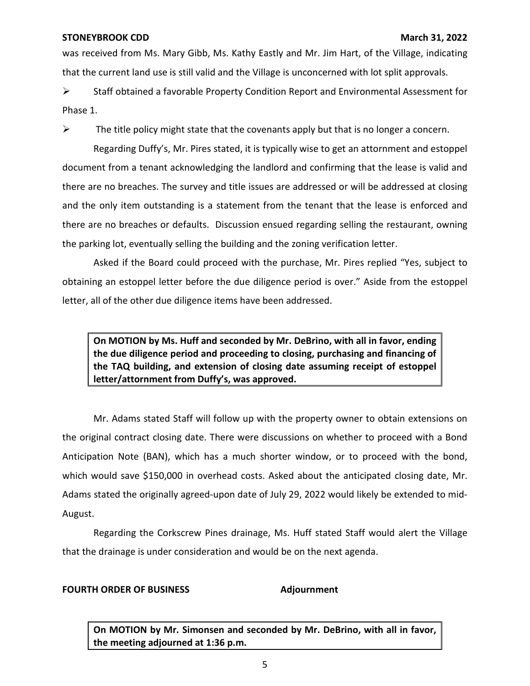## **STONEYBROOK CDD March 31, 2022**

was received from Ms. Mary Gibb, Ms. Kathy Eastly and Mr. Jim Hart, of the Village, indicating that the current land use is still valid and the Village is unconcerned with lot split approvals.

➢ Staff obtained a favorable Property Condition Report and Environmental Assessment for Phase 1.

 $\triangleright$  The title policy might state that the covenants apply but that is no longer a concern.

Regarding Duffy's, Mr. Pires stated, it is typically wise to get an attornment and estoppel document from a tenant acknowledging the landlord and confirming that the lease is valid and there are no breaches. The survey and title issues are addressed or will be addressed at closing and the only item outstanding is a statement from the tenant that the lease is enforced and there are no breaches or defaults. Discussion ensued regarding selling the restaurant, owning the parking lot, eventually selling the building and the zoning verification letter.

Asked if the Board could proceed with the purchase, Mr. Pires replied "Yes, subject to obtaining an estoppel letter before the due diligence period is over." Aside from the estoppel letter, all of the other due diligence items have been addressed.

 **On MOTION by Ms. Huff and seconded by Mr. DeBrino, with all in favor, ending the due diligence period and proceeding to closing, purchasing and financing of the TAQ building, and extension of closing date assuming receipt of estoppel letter/attornment from Duffy's, was approved.** 

Mr. Adams stated Staff will follow up with the property owner to obtain extensions on the original contract closing date. There were discussions on whether to proceed with a Bond Anticipation Note (BAN), which has a much shorter window, or to proceed with the bond, which would save \$150,000 in overhead costs. Asked about the anticipated closing date, Mr. Adams stated the originally agreed-upon date of July 29, 2022 would likely be extended to mid-August.

Regarding the Corkscrew Pines drainage, Ms. Huff stated Staff would alert the Village that the drainage is under consideration and would be on the next agenda.

# **FOURTH ORDER OF BUSINESS Adjournment**

 **On MOTION by Mr. Simonsen and seconded by Mr. DeBrino, with all in favor, the meeting adjourned at 1:36 p.m.**